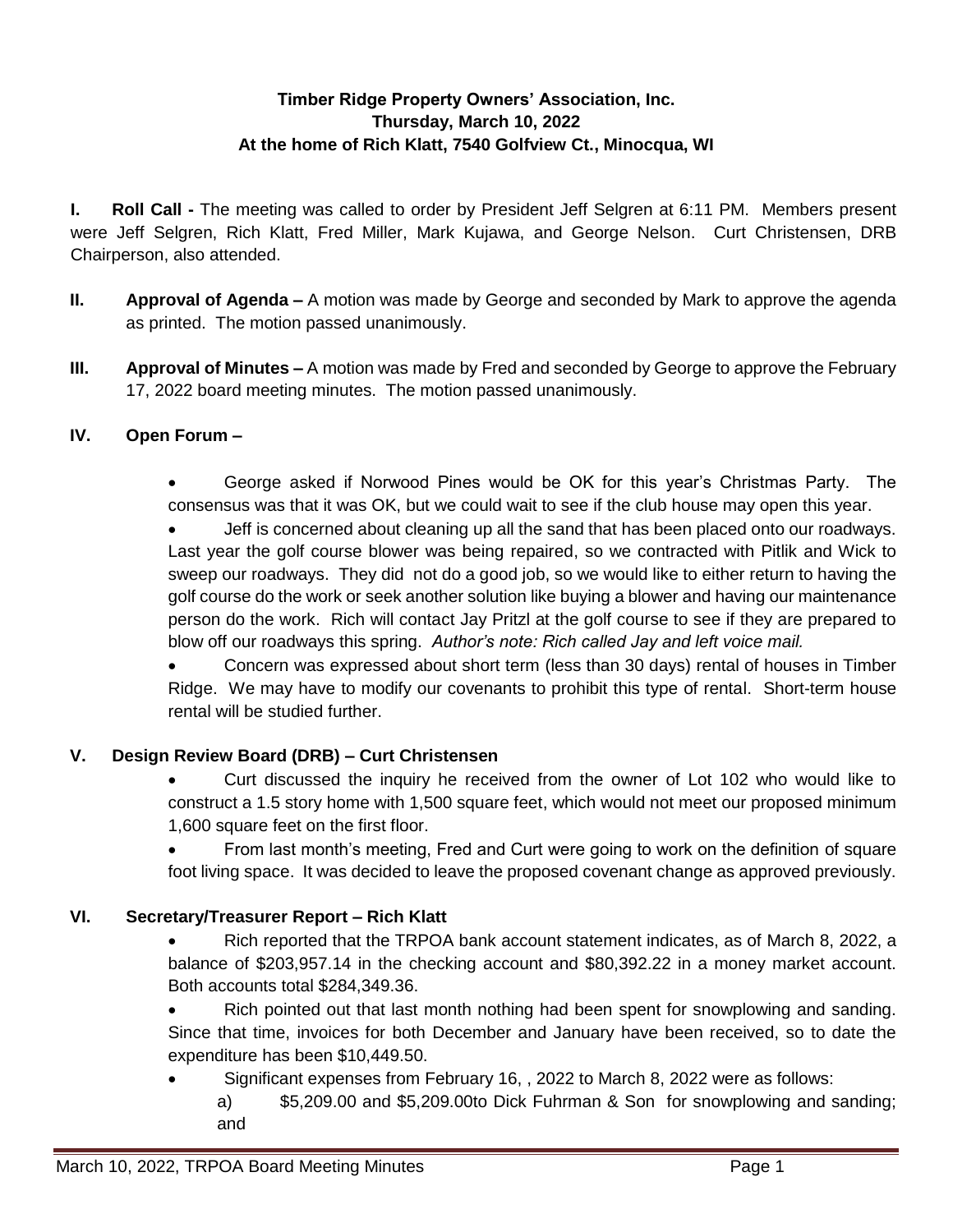# **Timber Ridge Property Owners' Association, Inc. Thursday, March 10, 2022 At the home of Rich Klatt, 7540 Golfview Ct., Minocqua, WI**

**I. Roll Call -** The meeting was called to order by President Jeff Selgren at 6:11 PM. Members present were Jeff Selgren, Rich Klatt, Fred Miller, Mark Kujawa, and George Nelson. Curt Christensen, DRB Chairperson, also attended.

- **II. Approval of Agenda –** A motion was made by George and seconded by Mark to approve the agenda as printed. The motion passed unanimously.
- **III. Approval of Minutes –** A motion was made by Fred and seconded by George to approve the February 17, 2022 board meeting minutes. The motion passed unanimously.

### **IV. Open Forum –**

 George asked if Norwood Pines would be OK for this year's Christmas Party. The consensus was that it was OK, but we could wait to see if the club house may open this year.

 Jeff is concerned about cleaning up all the sand that has been placed onto our roadways. Last year the golf course blower was being repaired, so we contracted with Pitlik and Wick to sweep our roadways. They did not do a good job, so we would like to either return to having the golf course do the work or seek another solution like buying a blower and having our maintenance person do the work. Rich will contact Jay Pritzl at the golf course to see if they are prepared to blow off our roadways this spring. *Author's note: Rich called Jay and left voice mail.*

 Concern was expressed about short term (less than 30 days) rental of houses in Timber Ridge. We may have to modify our covenants to prohibit this type of rental. Short-term house rental will be studied further.

### **V. Design Review Board (DRB) – Curt Christensen**

 Curt discussed the inquiry he received from the owner of Lot 102 who would like to construct a 1.5 story home with 1,500 square feet, which would not meet our proposed minimum 1,600 square feet on the first floor.

 From last month's meeting, Fred and Curt were going to work on the definition of square foot living space. It was decided to leave the proposed covenant change as approved previously.

### **VI. Secretary/Treasurer Report – Rich Klatt**

 Rich reported that the TRPOA bank account statement indicates, as of March 8, 2022, a balance of \$203,957.14 in the checking account and \$80,392.22 in a money market account. Both accounts total \$284,349.36.

• Rich pointed out that last month nothing had been spent for snowplowing and sanding. Since that time, invoices for both December and January have been received, so to date the expenditure has been \$10,449.50.

- Significant expenses from February 16, , 2022 to March 8, 2022 were as follows:
	- a) \$5,209.00 and \$5,209.00to Dick Fuhrman & Son for snowplowing and sanding; and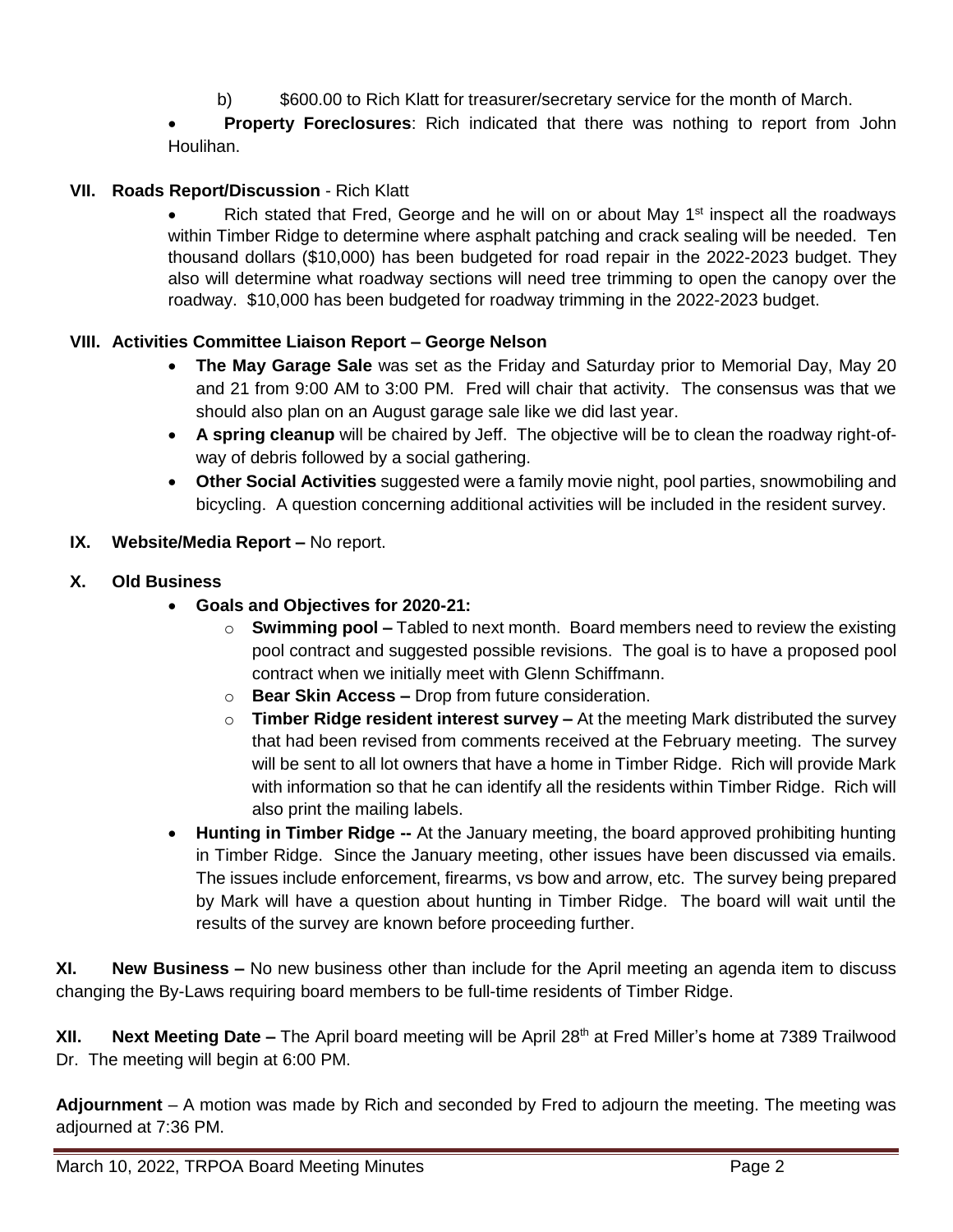- b) \$600.00 to Rich Klatt for treasurer/secretary service for the month of March.
- **Property Foreclosures**: Rich indicated that there was nothing to report from John Houlihan.

## **VII. Roads Report/Discussion** - Rich Klatt

Rich stated that Fred, George and he will on or about May  $1<sup>st</sup>$  inspect all the roadways within Timber Ridge to determine where asphalt patching and crack sealing will be needed. Ten thousand dollars (\$10,000) has been budgeted for road repair in the 2022-2023 budget. They also will determine what roadway sections will need tree trimming to open the canopy over the roadway. \$10,000 has been budgeted for roadway trimming in the 2022-2023 budget.

### **VIII. Activities Committee Liaison Report – George Nelson**

- **The May Garage Sale** was set as the Friday and Saturday prior to Memorial Day, May 20 and 21 from 9:00 AM to 3:00 PM. Fred will chair that activity. The consensus was that we should also plan on an August garage sale like we did last year.
- **A spring cleanup** will be chaired by Jeff. The objective will be to clean the roadway right-ofway of debris followed by a social gathering.
- **Other Social Activities** suggested were a family movie night, pool parties, snowmobiling and bicycling. A question concerning additional activities will be included in the resident survey.

#### **IX. Website/Media Report –** No report.

- **X. Old Business** 
	- **Goals and Objectives for 2020-21:**
		- o **Swimming pool –** Tabled to next month. Board members need to review the existing pool contract and suggested possible revisions. The goal is to have a proposed pool contract when we initially meet with Glenn Schiffmann.
		- o **Bear Skin Access –** Drop from future consideration.
		- o **Timber Ridge resident interest survey –** At the meeting Mark distributed the survey that had been revised from comments received at the February meeting. The survey will be sent to all lot owners that have a home in Timber Ridge. Rich will provide Mark with information so that he can identify all the residents within Timber Ridge. Rich will also print the mailing labels.
	- **Hunting in Timber Ridge --** At the January meeting, the board approved prohibiting hunting in Timber Ridge. Since the January meeting, other issues have been discussed via emails. The issues include enforcement, firearms, vs bow and arrow, etc. The survey being prepared by Mark will have a question about hunting in Timber Ridge. The board will wait until the results of the survey are known before proceeding further.

**XI. New Business –** No new business other than include for the April meeting an agenda item to discuss changing the By-Laws requiring board members to be full-time residents of Timber Ridge.

**XII.** Next Meeting Date – The April board meeting will be April 28<sup>th</sup> at Fred Miller's home at 7389 Trailwood Dr. The meeting will begin at 6:00 PM.

**Adjournment** – A motion was made by Rich and seconded by Fred to adjourn the meeting. The meeting was adjourned at 7:36 PM.